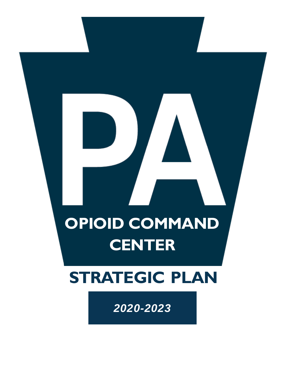# **OPIOID COMMAND CENTER**

# **STRATEGIC PLAN**

*2020-2023*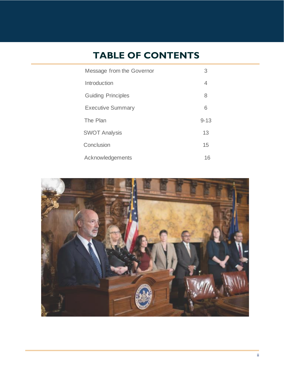### **TABLE OF CONTENTS**

| Message from the Governor | 3        |
|---------------------------|----------|
| Introduction              | 4        |
| <b>Guiding Principles</b> | 8        |
| <b>Executive Summary</b>  | 6        |
| The Plan                  | $9 - 13$ |
| <b>SWOT Analysis</b>      | 13       |
| Conclusion                | 15       |
| Acknowledgements          | 16       |

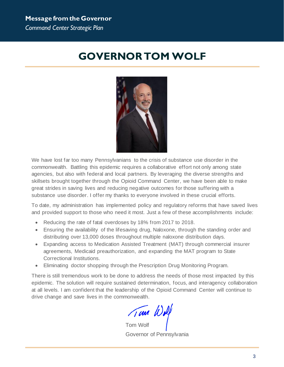### <span id="page-2-0"></span>**GOVERNOR TOM WOLF**



We have lost far too many Pennsylvanians to the crisis of substance use disorder in the commonwealth. Battling this epidemic requires a collaborative effort not only among state agencies, but also with federal and local partners. By leveraging the diverse strengths and skillsets brought together through the Opioid Command Center, we have been able to make great strides in saving lives and reducing negative outcomes for those suffering with a substance use disorder. I offer my thanks to everyone involved in these crucial efforts.

To date, my administration has implemented policy and regulatory reforms that have saved lives and provided support to those who need it most. Just a few of these accomplishments include:

- Reducing the rate of fatal overdoses by 18% from 2017 to 2018.
- Ensuring the availability of the lifesaving drug, Naloxone, through the standing order and distributing over 13,000 doses throughout multiple naloxone distribution days.
- Expanding access to Medication Assisted Treatment (MAT) through commercial insurer agreements, Medicaid preauthorization, and expanding the MAT program to State Correctional Institutions.
- Eliminating doctor shopping through the Prescription Drug Monitoring Program.

There is still tremendous work to be done to address the needs of those most impacted by this epidemic. The solution will require sustained determination, focus, and interagency collaboration at all levels. I am confident that the leadership of the Opioid Command Center will continue to drive change and save lives in the commonwealth.

Tom Wolf

Governor of Pennsylvania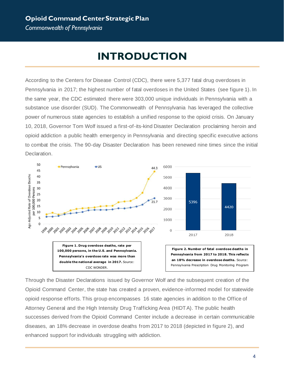#### **Opioid Command Center Strategic Plan** *Commonwealth of Pennsylvania*

**INTRODUCTION**

<span id="page-3-0"></span>According to the Centers for Disease Control (CDC), there were 5,377 fatal drug overdoses in Pennsylvania in 2017; the highest number of fatal overdoses in the United States (see figure 1). In the same year, the CDC estimated there were 303,000 unique individuals in Pennsylvania with a substance use disorder (SUD). The Commonwealth of Pennsylvania has leveraged the collective power of numerous state agencies to establish a unified response to the opioid crisis. On January 10, 2018, Governor Tom Wolf issued a first-of-its-kind Disaster Declaration proclaiming heroin and opioid addiction a public health emergency in Pennsylvania and directing specific executive actions to combat the crisis. The 90-day Disaster Declaration has been renewed nine times since the initial Declaration.



Through the Disaster Declarations issued by Governor Wolf and the subsequent creation of the Opioid Command Center, the state has created a proven, evidence-informed model for statewide opioid response efforts. This group encompasses 16 state agencies in addition to the Office of Attorney General and the High Intensity Drug Trafficking Area (HIDTA). The public health successes derived from the Opioid Command Center include a decrease in certain communicable diseases, an 18% decrease in overdose deaths from 2017 to 2018 (depicted in figure 2), and enhanced support for individuals struggling with addiction.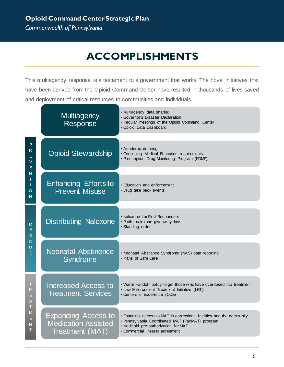### **ACCOMPLISHMENTS**

This multiagency response is a testament to a government that works. The novel initiatives that have been derived from the Opioid Command Center have resulted in thousands of lives saved and deployment of critical resources to communities and individuals.

|                                                                                                                                                      | <b>Multiagency</b><br>Response                                              | • Multiagency data sharing<br><b>Governor's Disaster Declaration</b><br>. Regular meetings of the Opioid Command Center<br>· Opioid Data Dashboard                                                 |
|------------------------------------------------------------------------------------------------------------------------------------------------------|-----------------------------------------------------------------------------|----------------------------------------------------------------------------------------------------------------------------------------------------------------------------------------------------|
| P.<br>R<br>E<br>V<br>E<br>N<br>Τ<br>$\circ$<br>N                                                                                                     | <b>Opioid Stewardship</b>                                                   | · Academic detailing<br>· Continuing Medical Education requirements<br>· Prescription Drug Monitoring Program (PDMP)                                                                               |
|                                                                                                                                                      | <b>Enhancing Efforts to</b><br><b>Prevent Misuse</b>                        | • Education and enforcement<br>• Drug take back events                                                                                                                                             |
| R<br>Е<br>S<br>C<br>U<br>E.                                                                                                                          | <b>Distributing Naloxone</b>                                                | • Naloxone for First Responders<br>· Public naloxone giveaw ay days<br>• Standing order                                                                                                            |
|                                                                                                                                                      | <b>Neonatal Abstinence</b><br>Syndrome                                      | • Neonatal Absitance Syndrome (NAS) data reporting<br>• Plans of Safe Care                                                                                                                         |
| T<br>R<br>E<br>A<br>T<br>$\mathsf{M}% _{T}=\mathsf{M}_{T}\!\left( a,b\right) ,\ \mathsf{M}_{T}=\mathsf{M}_{T}\!\left( a,b\right) ,$<br>E.<br>N.<br>т | <b>Increased Access to</b><br><b>Treatment Services</b>                     | . Warm Handoff policy to get those w ho have overdosed into treatment<br>• Law Enforcement Treatment Initiative (LETI)<br>• Centers of Excellence (COE)                                            |
|                                                                                                                                                      | <b>Expanding Access to</b><br><b>Medication Assisted</b><br>Treatment (MAT) | • Epanding access to MAT in correctional facilities and the community<br>· Pennsylvania Coordinated MAT (PacMAT) program<br>. Medicaid pre-authorization for MAT<br>· Commercial insurer agreement |

5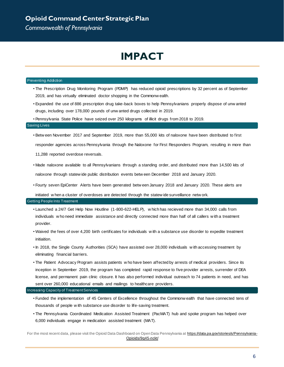### **IMPACT**

#### <span id="page-5-0"></span>Preventing Addiction

- The Prescription Drug Monitoring Program (PDMP) has reduced opioid prescriptions by 32 percent as of September 2019, and has virtually eliminated doctor shopping in the Commonw ealth.
- Expanded the use of 886 prescription drug take-back boxes to help Pennsylvanians properly dispose of unw anted drugs, including over 178,000 pounds of unw anted drugs collected in 2019.
- Pennsylvania State Police have seized over 250 kilograms of illicit drugs from 2018 to 2019.

#### Saving Lives

- Betw een November 2017 and September 2019, more than 55,000 kits of naloxone have been distributed to first responder agencies across Pennsylvania through the Naloxone for First Responders Program, resulting in more than 11,288 reported overdose reversals.
- Made naloxone available to all Pennsylvanians through a standing order, and distributed more than 14,500 kits of naloxone through statew ide public distribution events betw een December 2018 and January 2020.
- Fourty seven EpiCenter Alerts have been generated betw een January 2018 and January 2020. These alerts are

initiated w hen a cluster of overdoses are detected through the statew ide surveillance netw ork.

#### Getting People Into Treatment

- Launched a 24/7 Get Help Now Houtline (1-800-622-HELP), w hich has recieved more than 34,000 calls from individuals w ho need immediate assistance and directly connected more than half of all callers w ith a treatment provider.
- Waived the fees of over 4,200 birth certificates for individuals w ith a substance use disorder to expedite treatment initiaition.
- In 2018, the Single County Authorities (SCA) have assisted over 28,000 individuals w ith accessing treatment by eliminating financial barriers.
- The Patient Advocacy Program assists patients w ho have been affected by arrests of medical providers. Since its inception in September 2019, the program has completed rapid response to five provider arrests, surrender of DEA license, and permanent pain clinic closure. It has also performed individual outreach to 74 patients in need, and has sent over 260,000 educational emails and mailings to healthcare providers.

#### Increasing Capacity of Treatment Services

- Funded the implementation of 45 Centers of Excellence throughout the Commonw ealth that have connected tens of thousands of people w ith substance use disorder to life-saving treatment.
- The Pennsylvania Coordinated Medication Assisted Treatment (PacMAT) hub and spoke program has helped over 6,000 individuals engage in medication assisted treatment (MAT).

For the most recent data, please visit the Opioid Data Dashboard on Open Data Pennsylvania a[t https://data.pa.gov/stories/s/Pennsylvania-](https://data.pa.gov/stories/s/Pennsylvania-Opioids/9q45-nckt/)[Opioids/9q45-nckt/](https://data.pa.gov/stories/s/Pennsylvania-Opioids/9q45-nckt/)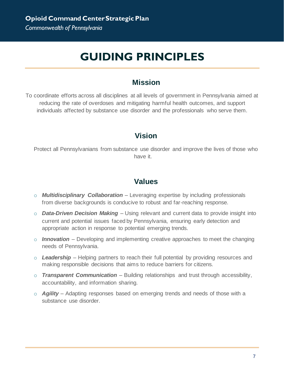### **GUIDING PRINCIPLES**

#### **Mission**

To coordinate efforts across all disciplines at all levels of government in Pennsylvania aimed at reducing the rate of overdoses and mitigating harmful health outcomes, and support individuals affected by substance use disorder and the professionals who serve them.

#### **Vision**

Protect all Pennsylvanians from substance use disorder and improve the lives of those who have it.

#### **Values**

- o *Multidisciplinary Collaboration* Leveraging expertise by including professionals from diverse backgrounds is conducive to robust and far-reaching response.
- o *Data-Driven Decision Making* Using relevant and current data to provide insight into current and potential issues faced by Pennsylvania, ensuring early detection and appropriate action in response to potential emerging trends.
- o *Innovation* Developing and implementing creative approaches to meet the changing needs of Pennsylvania.
- o *Leadership* Helping partners to reach their full potential by providing resources and making responsible decisions that aims to reduce barriers for citizens.
- o *Transparent Communication* Building relationships and trust through accessibility, accountability, and information sharing.
- o *Agility* Adapting responses based on emerging trends and needs of those with a substance use disorder.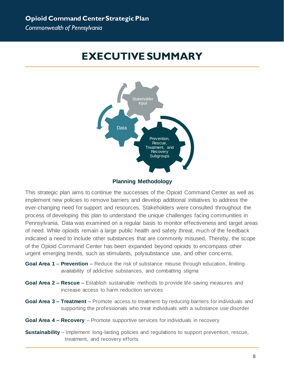### <span id="page-7-0"></span>**EXECUTIVE SUMMARY**



#### **Planning Methodology**

This strategic plan aims to continue the successes of the Opioid Command Center as well as implement new policies to remove barriers and develop additional initiatives to address the ever-changing need for support and resources. Stakeholders were consulted throughout the process of developing this plan to understand the unique challenges facing communities in Pennsylvania. Data was examined on a regular basis to monitor effectiveness and target areas of need. While opioids remain a large public health and safety threat, much of the feedback indicated a need to include other substances that are commonly misused. Thereby, the scope of the Opioid Command Center has been expanded beyond opioids to encompass other urgent emerging trends, such as stimulants, polysubstance use, and other concerns.

- **Goal Area 1 – Prevention** Reduce the risk of substance misuse through education, limiting availability of addictive substances, and combatting stigma
- **Goal Area 2 – Rescue** Establish sustainable methods to provide life-saving measures and increase access to harm reduction services
- **Goal Area 3 – Treatment** Promote access to treatment by reducing barriers for individuals and supporting the professionals who treat individuals with a substance use disorder
- **Goal Area 4 – Recovery** Promote supportive services for individuals in recovery
- **Sustainability** Implement long-lasting policies and regulations to support prevention, rescue, treatment, and recovery efforts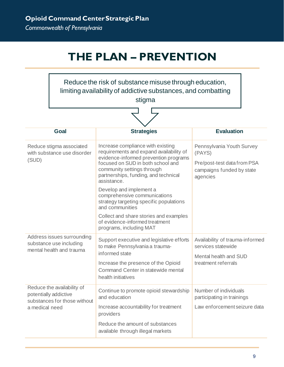# **THE PLAN – PREVENTION**

<span id="page-8-0"></span>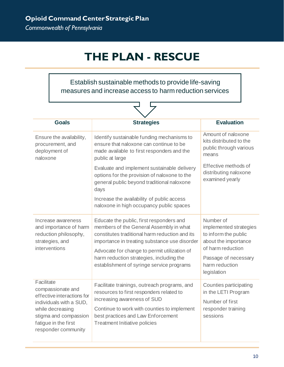# **THE PLAN - RESCUE**

Establish sustainable methods to provide life-saving measures and increase access to harm reduction services

マタ

| <b>Goals</b>                                                                                                                                                                         | <b>Strategies</b>                                                                                                                                                                                                                                                                                                               | <b>Evaluation</b>                                                                                                                                                 |  |  |
|--------------------------------------------------------------------------------------------------------------------------------------------------------------------------------------|---------------------------------------------------------------------------------------------------------------------------------------------------------------------------------------------------------------------------------------------------------------------------------------------------------------------------------|-------------------------------------------------------------------------------------------------------------------------------------------------------------------|--|--|
| Ensure the availability,<br>procurement, and<br>deployment of<br>naloxone                                                                                                            | Identify sustainable funding mechanisms to<br>ensure that naloxone can continue to be<br>made available to first responders and the<br>public at large                                                                                                                                                                          | Amount of naloxone<br>kits distributed to the<br>public through various<br>means                                                                                  |  |  |
|                                                                                                                                                                                      | Evaluate and implement sustainable delivery<br>options for the provision of naloxone to the<br>general public beyond traditional naloxone<br>days<br>Increase the availability of public access<br>naloxone in high occupancy public spaces                                                                                     | Effective methods of<br>distributing naloxone<br>examined yearly                                                                                                  |  |  |
| Increase awareness<br>and importance of harm<br>reduction philosophy,<br>strategies, and<br>interventions                                                                            | Educate the public, first responders and<br>members of the General Assembly in what<br>constitutes traditional harm reduction and its<br>importance in treating substance use disorder<br>Advocate for change to permit utilization of<br>harm reduction strategies, including the<br>establishment of syringe service programs | Number of<br>implemented strategies<br>to inform the public<br>about the importance<br>of harm reduction<br>Passage of necessary<br>harm reduction<br>legislation |  |  |
| Facilitate<br>compassionate and<br>effective interactions for<br>individuals with a SUD,<br>while decreasing<br>stigma and compassion<br>fatigue in the first<br>responder community | Facilitate trainings, outreach programs, and<br>resources to first responders related to<br>increasing awareness of SUD<br>Continue to work with counties to implement<br>best practices and Law Enforcement<br><b>Treatment Initiative policies</b>                                                                            | Counties participating<br>in the LETI Program<br>Number of first<br>responder training<br>sessions                                                                |  |  |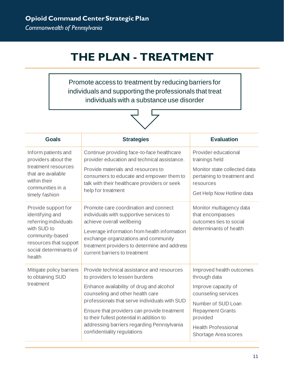# **THE PLAN - TREATMENT**

Promote access to treatment by reducing barriers for individuals and supporting the professionals that treat individuals with a substance use disorder



| <b>Goals</b>                                                                                                                                                    | <b>Strategies</b>                                                                                                                                                                                                                                                                      | <b>Evaluation</b>                                                                                               |
|-----------------------------------------------------------------------------------------------------------------------------------------------------------------|----------------------------------------------------------------------------------------------------------------------------------------------------------------------------------------------------------------------------------------------------------------------------------------|-----------------------------------------------------------------------------------------------------------------|
| Inform patients and<br>providers about the                                                                                                                      | Continue providing face-to-face healthcare<br>provider education and technical assistance.                                                                                                                                                                                             | Provider educational<br>trainings held                                                                          |
| treatment resources<br>that are available<br>within their<br>communities in a<br>timely fashion                                                                 | Provide materials and resources to<br>consumers to educate and empower them to<br>talk with their healthcare providers or seek<br>help for treatment                                                                                                                                   | Monitor state collected data<br>pertaining to treatment and<br>resources<br>Get Help Now Hotline data           |
| Provide support for<br>identifying and<br>referring individuals<br>with SUD to<br>community-based<br>resources that support<br>social determinants of<br>health | Promote care coordination and connect<br>individuals with supportive services to<br>achieve overall wellbeing<br>Leverage information from health information<br>exchange organizations and community<br>treatment providers to determine and address<br>current barriers to treatment | Monitor multiagency data<br>that encompasses<br>outcomes ties to social<br>determinants of health               |
| Mitigate policy barriers<br>to obtaining SUD                                                                                                                    | Provide technical assistance and resources<br>to providers to lessen burdens                                                                                                                                                                                                           | Improved health outcomes<br>through data                                                                        |
| treatment                                                                                                                                                       | Enhance availability of drug and alcohol<br>counseling and other health care                                                                                                                                                                                                           | Improve capacity of<br>counseling services                                                                      |
|                                                                                                                                                                 | professionals that serve individuals with SUD<br>Ensure that providers can provide treatment<br>to their fullest potential in addition to<br>addressing barriers regarding Pennsylvania<br>confidentiality regulations                                                                 | Number of SUD Loan<br><b>Repayment Grants</b><br>provided<br><b>Health Professional</b><br>Shortage Area scores |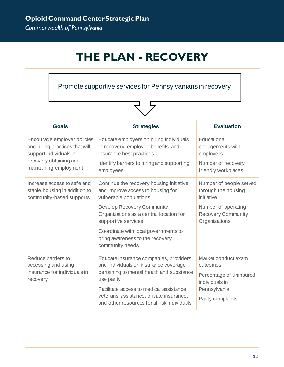# **THE PLAN - RECOVERY**

Promote supportive services for Pennsylvanians in recovery

| <b>Goals</b>                                                                                                                                | <b>Strategies</b>                                                                                                                                                     | <b>Evaluation</b>                                                                            |
|---------------------------------------------------------------------------------------------------------------------------------------------|-----------------------------------------------------------------------------------------------------------------------------------------------------------------------|----------------------------------------------------------------------------------------------|
| Encourage employer policies<br>and hiring practices that will<br>support individuals in<br>recovery obtaining and<br>maintaining employment | Educate employers on hiring individuals<br>in recovery, employee benefits, and<br>insurance best practices<br>Identify barriers to hiring and supporting<br>employees | Educational<br>engagements with<br>employers<br>Number of recovery<br>friendly workplaces    |
| Increase access to safe and<br>stable housing in addition to<br>community-based supports                                                    | Continue the recovery housing initiative<br>and improve access to housing for<br>vulnerable populations                                                               | Number of people served<br>through the housing<br>initiative                                 |
|                                                                                                                                             | <b>Develop Recovery Community</b><br>Organizations as a central location for<br>supportive services                                                                   | Number of operating<br><b>Recovery Community</b><br>Organizations                            |
|                                                                                                                                             | Coordinate with local governments to<br>bring awareness to the recovery<br>community needs                                                                            |                                                                                              |
| Reduce barriers to<br>accessing and using<br>insurance for individuals in                                                                   | Educate insurance companies, providers,<br>and individuals on insurance coverage<br>pertaining to mental health and substance                                         | Market conduct exam<br>outcomes<br>Percentage of uninsured<br>individuals in<br>Pennsylvania |
| recovery                                                                                                                                    | use parity<br>Facilitate access to medical assistance,<br>veterans' assistance, private insurance,<br>and other resources for at risk individuals                     |                                                                                              |
|                                                                                                                                             |                                                                                                                                                                       | Parity complaints                                                                            |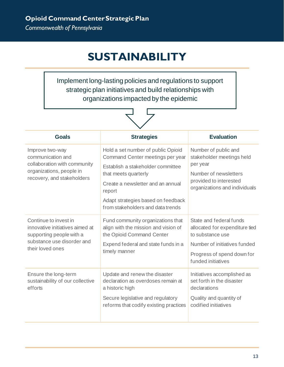# **SUSTAINABILITY**

<span id="page-12-0"></span>Implement long-lasting policies and regulations to support strategic plan initiatives and build relationships with organizations impacted by the epidemic

| <b>Goals</b>                                                                                                                           | <b>Strategies</b>                                                                                                                                                                                                                                             | <b>Evaluation</b>                                                                                                                                                 |  |  |
|----------------------------------------------------------------------------------------------------------------------------------------|---------------------------------------------------------------------------------------------------------------------------------------------------------------------------------------------------------------------------------------------------------------|-------------------------------------------------------------------------------------------------------------------------------------------------------------------|--|--|
| Improve two-way<br>communication and<br>collaboration with community<br>organizations, people in<br>recovery, and stakeholders         | Hold a set number of public Opioid<br>Command Center meetings per year<br>Establish a stakeholder committee<br>that meets quarterly<br>Create a newsletter and an annual<br>report<br>Adapt strategies based on feedback<br>from stakeholders and data trends | Number of public and<br>stakeholder meetings held<br>per year<br>Number of newsletters<br>provided to interested<br>organizations and individuals                 |  |  |
| Continue to invest in<br>innovative initiatives aimed at<br>supporting people with a<br>substance use disorder and<br>their loved ones | Fund community organizations that<br>align with the mission and vision of<br>the Opioid Command Center<br>Expend federal and state funds in a<br>timely manner                                                                                                | State and federal funds<br>allocated for expenditure tied<br>to substance use<br>Number of initiatives funded<br>Progress of spend down for<br>funded initiatives |  |  |
| Ensure the long-term<br>sustainability of our collective<br>efforts                                                                    | Update and renew the disaster<br>declaration as overdoses remain at<br>a historic high<br>Secure legislative and regulatory<br>reforms that codify existing practices                                                                                         | Initiatives accomplished as<br>set forth in the disaster<br>declarations<br>Quality and quantity of<br>codified initiatives                                       |  |  |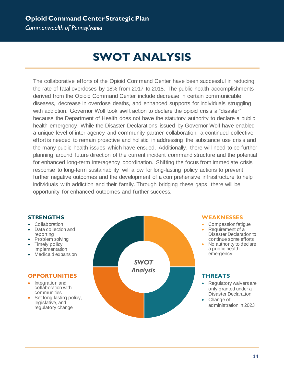### **Opioid Command Center Strategic Plan**

*Commonwealth of Pennsylvania*

# **SWOT ANALYSIS**

The collaborative efforts of the Opioid Command Center have been successful in reducing the rate of fatal overdoses by 18% from 2017 to 2018. The public health accomplishments derived from the Opioid Command Center include decrease in certain communicable diseases, decrease in overdose deaths, and enhanced supports for individuals struggling with addiction. Governor Wolf took swift action to declare the opioid crisis a "disaster" because the Department of Health does not have the statutory authority to declare a public health emergency. While the Disaster Declarations issued by Governor Wolf have enabled a unique level of inter-agency and community partner collaboration, a continued collective effort is needed to remain proactive and holistic in addressing the substance use crisis and the many public health issues which have ensued. Additionally, there will need to be further planning around future direction of the current incident command structure and the potential for enhanced long-term interagency coordination. Shifting the focus from immediate crisis response to long-term sustainability will allow for long-lasting policy actions to prevent further negative outcomes and the development of a comprehensive infrastructure to help individuals with addiction and their family. Through bridging these gaps, there will be opportunity for enhanced outcomes and further success.

#### **STRENGTHS**

- Collaboration
- Data collection and reporting
- Problem solving
- Timely policy implementation
- Medicaid expansion

#### **OPPORTUNITIES**

- Integration and collaboration with communities
- Set long lasting policy, legislative, and regulatory change



#### **WEAKNESSES**

- Compassion fatigue
- Requirement of a Disaster Declaration to continue some efforts
- No authority to declare a public health emergency

#### **THREATS**

- Regulatory waivers are only granted under a Disaster Declaration
- Change of administration in 2023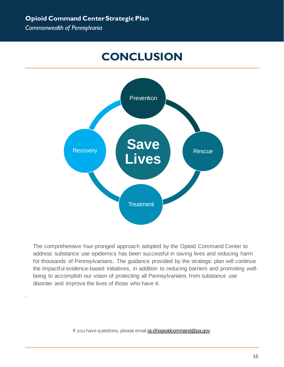.

# **CONCLUSION**

<span id="page-14-0"></span>

The comprehensive four-pronged approach adopted by the Opioid Command Center to address substance use epidemics has been successful in saving lives and reducing harm for thousands of Pennsylvanians. The guidance provided by the strategic plan will continue the impactful evidence-based initiatives, in addition to reducing barriers and promoting wellbeing to accomplish our vision of protecting all Pennsylvanians from substance use disorder and improve the lives of those who have it.

If you have questions, please emai[l ra-dhopioidcommand@pa.gov.](mailto:ra-dhopioidcommand@pa.gov)